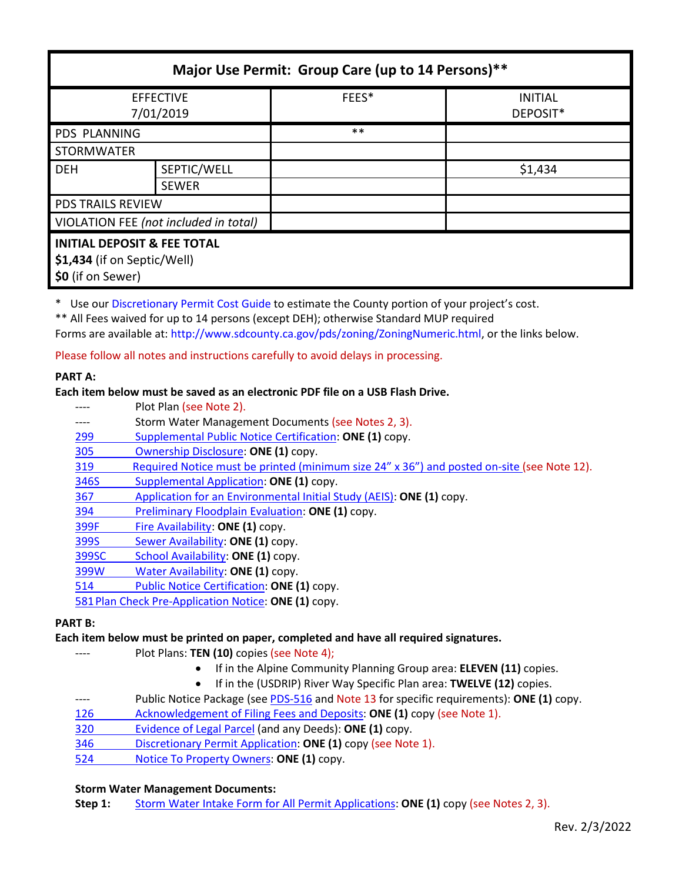| Major Use Permit: Group Care (up to 14 Persons)**                                          |              |       |                            |  |
|--------------------------------------------------------------------------------------------|--------------|-------|----------------------------|--|
| <b>EFFECTIVE</b><br>7/01/2019                                                              |              | FEES* | <b>INITIAL</b><br>DEPOSIT* |  |
| <b>PDS PLANNING</b>                                                                        |              | $***$ |                            |  |
| <b>STORMWATER</b>                                                                          |              |       |                            |  |
| <b>DEH</b>                                                                                 | SEPTIC/WELL  |       | \$1,434                    |  |
|                                                                                            | <b>SEWER</b> |       |                            |  |
| <b>PDS TRAILS REVIEW</b>                                                                   |              |       |                            |  |
| VIOLATION FEE (not included in total)                                                      |              |       |                            |  |
| <b>INITIAL DEPOSIT &amp; FEE TOTAL</b><br>\$1,434 (if on Septic/Well)<br>\$0 (if on Sewer) |              |       |                            |  |

\* Use our [Discretionary Permit Cost Guide](http://www.sandiegocounty.gov/content/dam/sdc/pds/docs/Discretionary_Permit_Cost_Guide.xlsx) to estimate the County portion of your project's cost.

\*\* All Fees waived for up to 14 persons (except DEH); otherwise Standard MUP required

Forms are available at: [http://www.sdcounty.ca.gov/pds/zoning/ZoningNumeric.html,](http://www.sdcounty.ca.gov/pds/zoning/ZoningNumeric.html) or the links below.

Please follow all notes and instructions carefully to avoid delays in processing.

#### **PART A:**

### **Each item below must be saved as an electronic PDF file on a USB Flash Drive.**

---- Plot Plan (see Note 2). ---- Storm Water Management Documents (see Notes 2, 3). [299 Supplemental Public Notice Certification:](http://www.sdcounty.ca.gov/pds/zoning/formfields/PDS-PLN-299.pdf) **ONE (1)** copy. [305 Ownership Disclosure:](http://www.sdcounty.ca.gov/pds/zoning/formfields/PDS-PLN-305.pdf) **ONE (1)** copy. 319 Required Notice must [be printed \(minimum size 24" x 36"\) and posted on-site](https://www.sandiegocounty.gov/content/dam/sdc/pds/zoning/formfields/PDS-PLN-319.pdf) (see Note 12). [346S Supplemental Application:](http://www.sdcounty.ca.gov/pds/zoning/formfields/PDS-PLN-346S.pdf) **ONE (1)** copy. 367 [Application for an Environmental Initial Study \(AEIS\):](http://www.sdcounty.ca.gov/pds/zoning/formfields/PDS-PLN-367.pdf) **ONE (1)** copy. 394 [Preliminary Floodplain Evaluation:](http://www.sdcounty.ca.gov/pds/zoning/formfields/PDS-PLN-394.pdf) **ONE (1)** copy. 399F [Fire Availability:](http://www.sdcounty.ca.gov/pds/zoning/formfields/PDS-PLN-399F.pdf) **ONE (1)** copy. 399S [Sewer Availability:](http://www.sdcounty.ca.gov/pds/zoning/formfields/PDS-PLN-399S.pdf) **ONE (1)** copy. [399SC School Availability:](http://www.sdcounty.ca.gov/pds/zoning/formfields/PDS-PLN-399SC.pdf) **ONE (1)** copy. 399W [Water Availability:](http://www.sdcounty.ca.gov/pds/zoning/formfields/PDS-PLN-399W.pdf) **ONE (1)** copy. 514 [Public Notice Certification:](http://www.sdcounty.ca.gov/pds/zoning/formfields/PDS-PLN-514.pdf) **ONE (1)** copy. [581Plan Check Pre-Application Notice:](http://www.sdcounty.ca.gov/pds/zoning/formfields/PDS-PLN-581.pdf) **ONE (1)** copy.

#### **PART B:**

# **Each item below must be printed on paper, completed and have all required signatures.**

- Plot Plans: **TEN (10)** copies (see Note 4);
	- If in the Alpine Community Planning Group area: **ELEVEN (11)** copies.
	- If in the (USDRIP) River Way Specific Plan area: **TWELVE (12)** copies.
- ---- Public Notice Package (se[e PDS-516](http://www.sdcounty.ca.gov/pds/zoning/formfields/PDS-PLN-516.pdf) and Note 13 for specific requirements): **ONE (1)** copy.
- [126 Acknowledgement of Filing Fees and Deposits:](http://www.sdcounty.ca.gov/pds/zoning/formfields/PDS-PLN-126.pdf) **ONE (1)** copy (see Note 1).
- [320 Evidence of Legal Parcel](http://www.sdcounty.ca.gov/pds/zoning/formfields/PDS-PLN-320.pdf) (and any Deeds): **ONE (1)** copy.
- 346 [Discretionary Permit Application:](http://www.sdcounty.ca.gov/pds/zoning/formfields/PDS-PLN-346.pdf) **ONE (1)** copy (see Note 1).
- 524 [Notice To Property Owners:](http://www.sdcounty.ca.gov/pds/zoning/formfields/PDS-PLN-524.pdf) **ONE (1)** copy.

#### **Storm Water Management Documents:**

**Step 1:** [Storm Water Intake Form for All Permit Applications:](http://www.sandiegocounty.gov/content/dam/sdc/pds/zoning/formfields/SWQMP-Intake-Form.pdf) **ONE (1)** copy (see Notes 2, 3).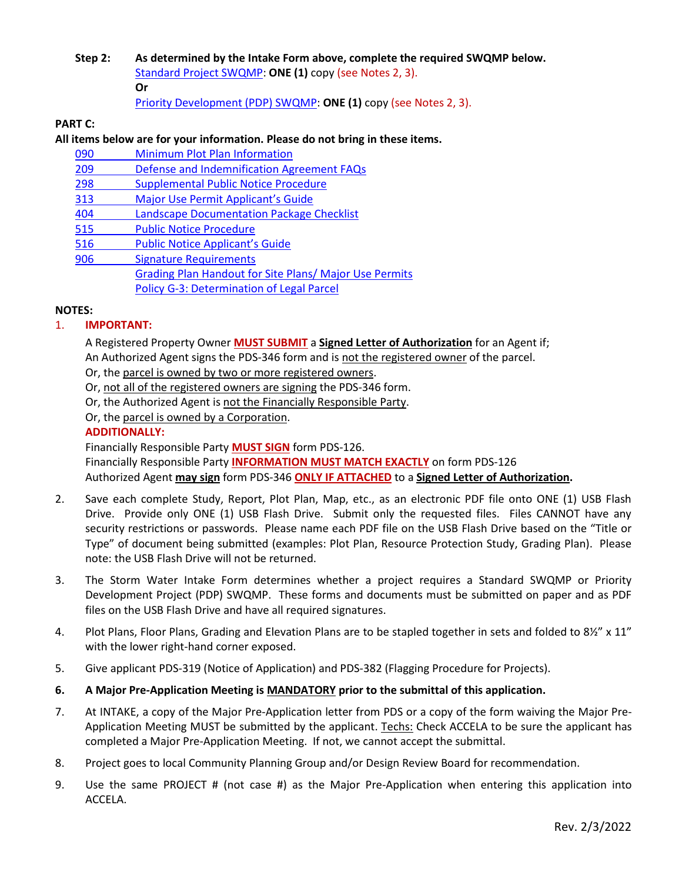**Step 2: As determined by the Intake Form above, complete the required SWQMP below.** [Standard Project SWQMP:](http://www.sandiegocounty.gov/content/dam/sdc/pds/zoning/formfields/SWQMP-Standard.pdf) **ONE (1)** copy (see Notes 2, 3). **Or**

[Priority Development \(PDP\) SWQMP:](https://www.sandiegocounty.gov/content/sdc/dpw/watersheds/DevelopmentandConstruction/BMP_Design_Manual.html) **ONE (1)** copy (see Notes 2, 3).

# **PART C:**

# **All items below are for your information. Please do not bring in these items.**

| 090 | Minimum Plot Plan Information                                 |  |  |
|-----|---------------------------------------------------------------|--|--|
| 209 | Defense and Indemnification Agreement FAQs                    |  |  |
| 298 | <b>Supplemental Public Notice Procedure</b>                   |  |  |
| 313 | Major Use Permit Applicant's Guide                            |  |  |
| 404 | <b>Landscape Documentation Package Checklist</b>              |  |  |
| 515 | <b>Public Notice Procedure</b>                                |  |  |
| 516 | <b>Public Notice Applicant's Guide</b>                        |  |  |
| 906 | <b>Signature Requirements</b>                                 |  |  |
|     | <b>Grading Plan Handout for Site Plans/ Major Use Permits</b> |  |  |
|     | <b>Policy G-3: Determination of Legal Parcel</b>              |  |  |

# **NOTES:**

# 1. **IMPORTANT:**

A Registered Property Owner **MUST SUBMIT** a **Signed Letter of Authorization** for an Agent if; An Authorized Agent signs the PDS-346 form and is not the registered owner of the parcel.

Or, the parcel is owned by two or more registered owners.

Or, not all of the registered owners are signing the PDS-346 form.

Or, the Authorized Agent is not the Financially Responsible Party.

Or, the parcel is owned by a Corporation.

### **ADDITIONALLY:**

Financially Responsible Party **MUST SIGN** form PDS-126.

Financially Responsible Party **INFORMATION MUST MATCH EXACTLY** on form PDS-126 Authorized Agent **may sign** form PDS-346 **ONLY IF ATTACHED** to a **Signed Letter of Authorization.**

- 2. Save each complete Study, Report, Plot Plan, Map, etc., as an electronic PDF file onto ONE (1) USB Flash Drive. Provide only ONE (1) USB Flash Drive. Submit only the requested files. Files CANNOT have any security restrictions or passwords. Please name each PDF file on the USB Flash Drive based on the "Title or Type" of document being submitted (examples: Plot Plan, Resource Protection Study, Grading Plan). Please note: the USB Flash Drive will not be returned.
- 3. The Storm Water Intake Form determines whether a project requires a Standard SWQMP or Priority Development Project (PDP) SWQMP. These forms and documents must be submitted on paper and as PDF files on the USB Flash Drive and have all required signatures.
- 4. Plot Plans, Floor Plans, Grading and Elevation Plans are to be stapled together in sets and folded to 8½" x 11" with the lower right-hand corner exposed.
- 5. Give applicant PDS-319 (Notice of Application) and PDS-382 (Flagging Procedure for Projects).
- **6. A Major Pre-Application Meeting is MANDATORY prior to the submittal of this application.**
- 7. At INTAKE, a copy of the Major Pre-Application letter from PDS or a copy of the form waiving the Major Pre-Application Meeting MUST be submitted by the applicant. Techs: Check ACCELA to be sure the applicant has completed a Major Pre-Application Meeting. If not, we cannot accept the submittal.
- 8. Project goes to local Community Planning Group and/or Design Review Board for recommendation.
- 9. Use the same PROJECT # (not case #) as the Major Pre-Application when entering this application into ACCELA.